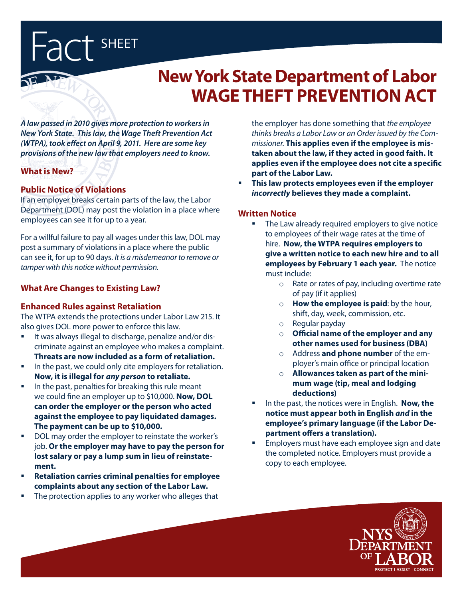# **Fact SHEET**

# **New York State Department of Labor Wage Theft prevention act**

*A law passed in 2010 gives more protection to workers in New York State. This law, the Wage Theft Prevention Act (WTPA), took effect on April 9, 2011. Here are some key provisions of the new law that employers need to know.* 

# **What is New?**

## **Public Notice of Violations**

If an employer breaks certain parts of the law, the Labor Department (DOL) may post the violation in a place where employees can see it for up to a year.

For a willful failure to pay all wages under this law, DOL may post a summary of violations in a place where the public can see it, for up to 90 days. *It is a misdemeanor to remove or tamper with this notice without permission.*

# **What Are Changes to Existing Law?**

#### **Enhanced Rules against Retaliation**

The WTPA extends the protections under Labor Law 215. It also gives DOL more power to enforce this law.

- **It was always illegal to discharge, penalize and/or dis**criminate against an employee who makes a complaint. **Threats are now included as a form of retaliation.**
- In the past, we could only cite employers for retaliation. **Now, it is illegal for** *any person* **to retaliate.**
- In the past, penalties for breaking this rule meant we could fine an employer up to \$10,000. **Now, DOL can order the employer or the person who acted against the employee to pay liquidated damages. The payment can be up to \$10,000.**
- DOL may order the employer to reinstate the worker's job. **Or the employer may have to pay the person for lost salary or pay a lump sum in lieu of reinstatement.**
- **Retaliation carries criminal penalties for employee complaints about any section of the Labor Law.**
- **The protection applies to any worker who alleges that**

the employer has done something that *the employee thinks breaks a Labor Law or an Order issued by the Commissioner*. **This applies even if the employee is mistaken about the law, if they acted in good faith. It applies even if the employee does not cite a specific part of the Labor Law.** 

 **This law protects employees even if the employer**  *incorrectly* **believes they made a complaint.** 

#### **Written Notice**

- The Law already required employers to give notice to employees of their wage rates at the time of hire. **Now, the WTPA requires employers to give a written notice to each new hire and to all employees by February 1 each year.** The notice must include:
	- o Rate or rates of pay, including overtime rate of pay (if it applies)
	- o **How the employee is paid**: by the hour, shift, day, week, commission, etc.
	- o Regular payday
	- o **Official name of the employer and any other names used for business (DBA)**
	- o Address **and phone number** of the employer's main office or principal location
	- o **Allowances taken as part of the minimum wage (tip, meal and lodging deductions)**
- In the past, the notices were in English. **Now, the notice must appear both in English** *and* **in the employee's primary language (if the Labor Department offers a translation).**
- Employers must have each employee sign and date the completed notice. Employers must provide a copy to each employee.